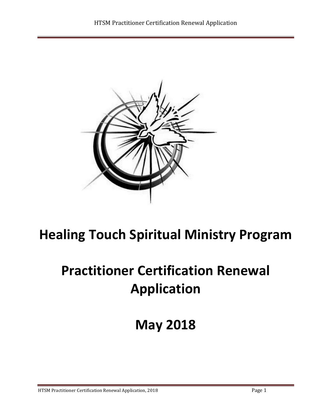

# **Healing Touch Spiritual Ministry Program**

# **Practitioner Certification Renewal Application**

# **May 2018**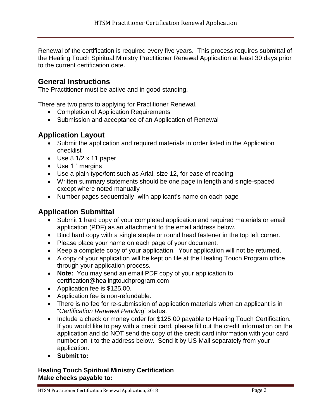Renewal of the certification is required every five years. This process requires submittal of the Healing Touch Spiritual Ministry Practitioner Renewal Application at least 30 days prior to the current certification date.

#### **General Instructions**

The Practitioner must be active and in good standing.

There are two parts to applying for Practitioner Renewal.

- Completion of Application Requirements
- Submission and acceptance of an Application of Renewal

### **Application Layout**

- Submit the application and required materials in order listed in the Application checklist
- Use 8 1/2 x 11 paper
- Use 1 " margins
- Use a plain type/font such as Arial, size 12, for ease of reading
- Written summary statements should be one page in length and single-spaced except where noted manually
- Number pages sequentially with applicant's name on each page

### **Application Submittal**

- Submit 1 hard copy of your completed application and required materials or email application (PDF) as an attachment to the email address below.
- Bind hard copy with a single staple or round head fastener in the top left corner.
- Please place your name on each page of your document.
- Keep a complete copy of your application. Your application will not be returned.
- A copy of your application will be kept on file at the Healing Touch Program office through your application process.
- **Note:** You may send an email PDF copy of your application to certification@healingtouchprogram.com
- Application fee is \$125.00.
- Application fee is non-refundable.
- There is no fee for re-submission of application materials when an applicant is in "*Certification Renewal Pending*" status.
- Include a check or money order for \$125.00 payable to Healing Touch Certification. If you would like to pay with a credit card, please fill out the credit information on the application and do NOT send the copy of the credit card information with your card number on it to the address below. Send it by US Mail separately from your application.
- **Submit to:**

#### **Healing Touch Spiritual Ministry Certification Make checks payable to:**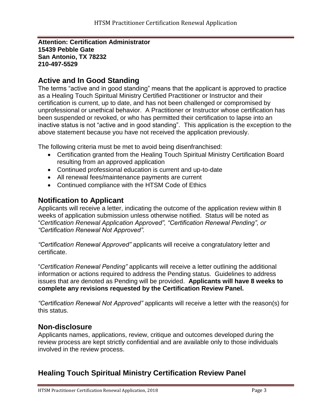**Attention: Certification Administrator 15439 Pebble Gate San Antonio, TX 78232 210-497-5529**

### **Active and In Good Standing**

The terms "active and in good standing" means that the applicant is approved to practice as a Healing Touch Spiritual Ministry Certified Practitioner or Instructor and their certification is current, up to date, and has not been challenged or compromised by unprofessional or unethical behavior. A Practitioner or Instructor whose certification has been suspended or revoked, or who has permitted their certification to lapse into an inactive status is not "active and in good standing". This application is the exception to the above statement because you have not received the application previously.

The following criteria must be met to avoid being disenfranchised:

- Certification granted from the Healing Touch Spiritual Ministry Certification Board resulting from an approved application
- Continued professional education is current and up-to-date
- All renewal fees/maintenance payments are current
- Continued compliance with the HTSM Code of Ethics

#### **Notification to Applicant**

Applicants will receive a letter, indicating the outcome of the application review within 8 weeks of application submission unless otherwise notified. Status will be noted as "*Certification Renewal Application Approved", "Certification Renewal Pending", or "Certification Renewal Not Approved".*

*"Certification Renewal Approved"* applicants will receive a congratulatory letter and certificate.

"*Certification Renewal Pending"* applicants will receive a letter outlining the additional information or actions required to address the Pending status. Guidelines to address issues that are denoted as Pending will be provided. **Applicants will have 8 weeks to complete any revisions requested by the Certification Review Panel.**

*"Certification Renewal Not Approved"* applicants will receive a letter with the reason(s) for this status.

#### **Non-disclosure**

Applicants names, applications, review, critique and outcomes developed during the review process are kept strictly confidential and are available only to those individuals involved in the review process.

## **Healing Touch Spiritual Ministry Certification Review Panel**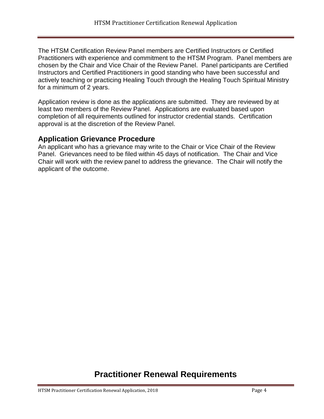The HTSM Certification Review Panel members are Certified Instructors or Certified Practitioners with experience and commitment to the HTSM Program. Panel members are chosen by the Chair and Vice Chair of the Review Panel. Panel participants are Certified Instructors and Certified Practitioners in good standing who have been successful and actively teaching or practicing Healing Touch through the Healing Touch Spiritual Ministry for a minimum of 2 years.

Application review is done as the applications are submitted. They are reviewed by at least two members of the Review Panel. Applications are evaluated based upon completion of all requirements outlined for instructor credential stands. Certification approval is at the discretion of the Review Panel.

#### **Application Grievance Procedure**

An applicant who has a grievance may write to the Chair or Vice Chair of the Review Panel. Grievances need to be filed within 45 days of notification. The Chair and Vice Chair will work with the review panel to address the grievance. The Chair will notify the applicant of the outcome.

# **Practitioner Renewal Requirements**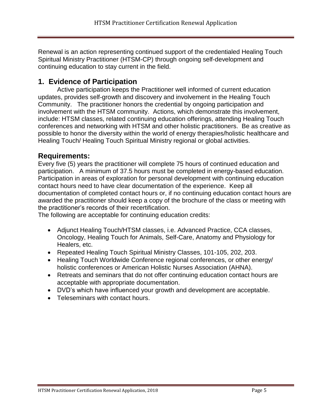Renewal is an action representing continued support of the credentialed Healing Touch Spiritual Ministry Practitioner (HTSM-CP) through ongoing self-development and continuing education to stay current in the field.

## **1. Evidence of Participation**

Active participation keeps the Practitioner well informed of current education updates, provides self-growth and discovery and involvement in the Healing Touch Community. The practitioner honors the credential by ongoing participation and involvement with the HTSM community. Actions, which demonstrate this involvement, include: HTSM classes, related continuing education offerings, attending Healing Touch conferences and networking with HTSM and other holistic practitioners. Be as creative as possible to honor the diversity within the world of energy therapies/holistic healthcare and Healing Touch/ Healing Touch Spiritual Ministry regional or global activities.

#### **Requirements:**

Every five (5) years the practitioner will complete 75 hours of continued education and participation. A minimum of 37.5 hours must be completed in energy-based education. Participation in areas of exploration for personal development with continuing education contact hours need to have clear documentation of the experience. Keep all documentation of completed contact hours or, if no continuing education contact hours are awarded the practitioner should keep a copy of the brochure of the class or meeting with the practitioner's records of their recertification.

The following are acceptable for continuing education credits:

- Adjunct Healing Touch/HTSM classes, i.e. Advanced Practice, CCA classes, Oncology, Healing Touch for Animals, Self-Care, Anatomy and Physiology for Healers, etc.
- Repeated Healing Touch Spiritual Ministry Classes, 101-105, 202, 203.
- Healing Touch Worldwide Conference regional conferences, or other energy/ holistic conferences or American Holistic Nurses Association (AHNA).
- Retreats and seminars that do not offer continuing education contact hours are acceptable with appropriate documentation.
- DVD's which have influenced your growth and development are acceptable.
- Teleseminars with contact hours.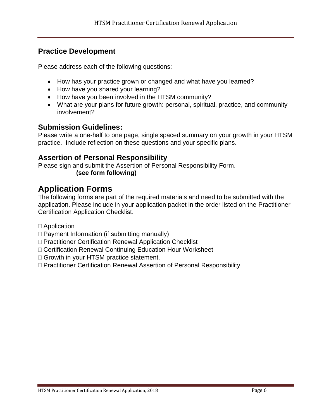## **Practice Development**

Please address each of the following questions:

- How has your practice grown or changed and what have you learned?
- How have you shared your learning?
- How have you been involved in the HTSM community?
- What are your plans for future growth: personal, spiritual, practice, and community involvement?

### **Submission Guidelines:**

Please write a one-half to one page, single spaced summary on your growth in your HTSM practice. Include reflection on these questions and your specific plans.

#### **Assertion of Personal Responsibility**

Please sign and submit the Assertion of Personal Responsibility Form. **(see form following)**

# **Application Forms**

The following forms are part of the required materials and need to be submitted with the application. Please include in your application packet in the order listed on the Practitioner Certification Application Checklist.

- Application
- $\Box$  Payment Information (if submitting manually)
- □ Practitioner Certification Renewal Application Checklist
- Certification Renewal Continuing Education Hour Worksheet
- □ Growth in your HTSM practice statement.
- □ Practitioner Certification Renewal Assertion of Personal Responsibility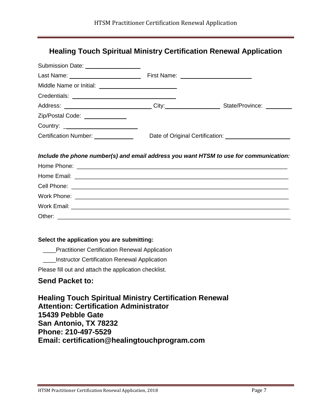## **Healing Touch Spiritual Ministry Certification Renewal Application**

| Submission Date: __________________   |                                                                                                     |  |
|---------------------------------------|-----------------------------------------------------------------------------------------------------|--|
|                                       |                                                                                                     |  |
|                                       |                                                                                                     |  |
|                                       |                                                                                                     |  |
|                                       | Address: ______________________________City:___________________________State/Province: ____________ |  |
| Zip/Postal Code: ______________       |                                                                                                     |  |
| Country: ____________________________ |                                                                                                     |  |
| Certification Number: _____________   |                                                                                                     |  |
|                                       | Include the phone number(s) and email address you want HTSM to use for communication:               |  |
|                                       |                                                                                                     |  |
|                                       |                                                                                                     |  |
|                                       |                                                                                                     |  |
|                                       |                                                                                                     |  |

#### **Select the application you are submitting:**

**EXECUTE:** Practitioner Certification Renewal Application

\_\_\_\_Instructor Certification Renewal Application

Please fill out and attach the application checklist.

#### **Send Packet to:**

**Healing Touch Spiritual Ministry Certification Renewal Attention: Certification Administrator 15439 Pebble Gate San Antonio, TX 78232 Phone: 210-497-5529 Email: certification@healingtouchprogram.com**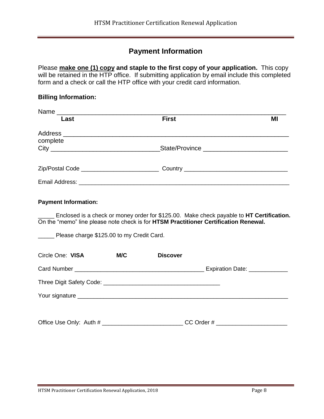# **Payment Information**

Please **make one (1) copy and staple to the first copy of your application.** This copy will be retained in the HTP office. If submitting application by email include this completed form and a check or call the HTP office with your credit card information.

#### **Billing Information:**

| Last     | <b>First</b> | MI |  |
|----------|--------------|----|--|
| complete |              |    |  |
|          |              |    |  |
|          |              |    |  |
|          |              |    |  |

#### **Payment Information:**

\_\_\_\_\_ Enclosed is a check or money order for \$125.00. Make check payable to **HT Certification.** On the "memo" line please note check is for **HTSM Practitioner Certification Renewal.**

Please charge \$125.00 to my Credit Card.

| Circle One: VISA | M/C | <b>Discover</b> |                                |
|------------------|-----|-----------------|--------------------------------|
|                  |     |                 | Expiration Date: _____________ |
|                  |     |                 |                                |
|                  |     |                 |                                |
|                  |     |                 |                                |
|                  |     | $CC$ Order $#$  |                                |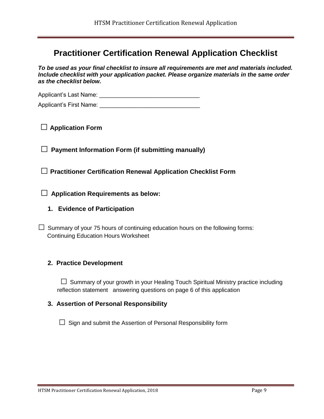# **Practitioner Certification Renewal Application Checklist**

*To be used as your final checklist to insure all requirements are met and materials included. Include checklist with your application packet. Please organize materials in the same order as the checklist below.*

Applicant's Last Name: \_\_\_\_\_\_\_\_\_\_\_\_\_\_\_\_\_\_\_\_\_\_\_\_\_\_\_\_\_\_\_

Applicant's First Name:

**□ Application Form**

**□ Payment Information Form (if submitting manually)**

**□ Practitioner Certification Renewal Application Checklist Form**

**□ Application Requirements as below:**

**1. Evidence of Participation**

 $\Box$  Summary of your 75 hours of continuing education hours on the following forms: Continuing Education Hours Worksheet

#### **2. Practice Development**

 $\square$  Summary of your growth in your Healing Touch Spiritual Ministry practice including reflection statement answering questions on page 6 of this application

#### **3. Assertion of Personal Responsibility**

 $\square$  Sign and submit the Assertion of Personal Responsibility form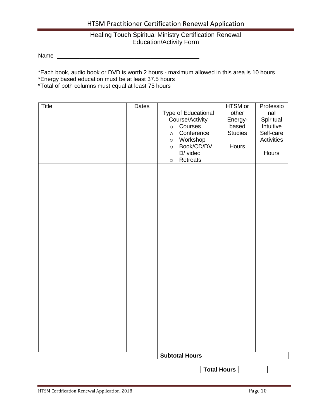#### HTSM Practitioner Certification Renewal Application

#### Healing Touch Spiritual Ministry Certification Renewal Education/Activity Form

Name \_\_\_\_\_\_\_\_\_\_\_\_\_\_\_\_\_\_\_\_\_\_\_\_\_\_\_\_\_\_\_\_\_\_\_\_\_\_\_\_\_\_\_\_

\*Each book, audio book or DVD is worth 2 hours - maximum allowed in this area is 10 hours

\*Energy based education must be at least 37.5 hours

\*Total of both columns must equal at least 75 hours

| <b>Title</b> | Dates | Type of Educational<br>Course/Activity<br>Courses<br>$\circ$<br>Conference<br>$\circ$<br>Workshop<br>$\circ$<br>Book/CD/DV<br>$\circ$<br>D/ video<br>Retreats<br>$\circ$ | HTSM or<br>other<br>Energy-<br>based<br><b>Studies</b><br>Hours | Professio<br>nal<br>Spiritual<br>Intuitive<br>Self-care<br><b>Activities</b><br>Hours |
|--------------|-------|--------------------------------------------------------------------------------------------------------------------------------------------------------------------------|-----------------------------------------------------------------|---------------------------------------------------------------------------------------|
|              |       |                                                                                                                                                                          |                                                                 |                                                                                       |
|              |       |                                                                                                                                                                          |                                                                 |                                                                                       |
|              |       |                                                                                                                                                                          |                                                                 |                                                                                       |
|              |       |                                                                                                                                                                          |                                                                 |                                                                                       |
|              |       |                                                                                                                                                                          |                                                                 |                                                                                       |
|              |       |                                                                                                                                                                          |                                                                 |                                                                                       |
|              |       |                                                                                                                                                                          |                                                                 |                                                                                       |
|              |       |                                                                                                                                                                          |                                                                 |                                                                                       |
|              |       |                                                                                                                                                                          |                                                                 |                                                                                       |
|              |       |                                                                                                                                                                          |                                                                 |                                                                                       |
|              |       |                                                                                                                                                                          |                                                                 |                                                                                       |
|              |       |                                                                                                                                                                          |                                                                 |                                                                                       |
|              |       |                                                                                                                                                                          |                                                                 |                                                                                       |
|              |       |                                                                                                                                                                          |                                                                 |                                                                                       |
|              |       |                                                                                                                                                                          |                                                                 |                                                                                       |
|              |       |                                                                                                                                                                          |                                                                 |                                                                                       |
|              |       |                                                                                                                                                                          |                                                                 |                                                                                       |
|              |       |                                                                                                                                                                          |                                                                 |                                                                                       |
|              |       |                                                                                                                                                                          |                                                                 |                                                                                       |
|              |       | <b>Subtotal Hours</b>                                                                                                                                                    |                                                                 |                                                                                       |

**Total Hours**